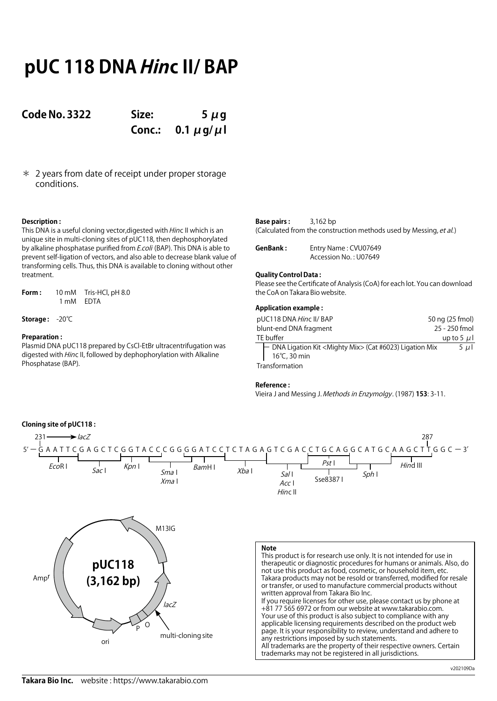# **pUC 118 DNA Hinc II/ BAP**

**Code No. 3322 Size: 5 μg Conc.: 0.1 μg/μl**

\* 2 years from date of receipt under proper storage conditions.

# **Description :**

This DNA is a useful cloning vector, digested with *Hinc II* which is an unique site in multi-cloning sites of pUC118, then dephosphorylated by alkaline phosphatase purified from E.coli (BAP). This DNA is able to prevent self-ligation of vectors, and also able to decrease blank value of transforming cells. Thus, this DNA is available to cloning without other treatment.

**Form :** 10 mM Tris-HCl, pH 8.0 1 mM EDTA

**Storage :** -20℃

### **Preparation :**

Plasmid DNA pUC118 prepared by CsCl-EtBr ultracentrifugation was digested with Hinc II, followed by dephophorylation with Alkaline Phosphatase (BAP).

**Base pairs :** 3,162 bp (Calculated from the construction methods used by Messing, et al.)

| GenBank: | Entry Name: CVU07649  |
|----------|-----------------------|
|          | Accession No.: U07649 |

# **Quality Control Data :**

Please see the Certificate of Analysis (CoA) for each lot. You can download the CoA on Takara Bio website.

# **Application example :**

| pUC118 DNA Hinc II/ BAP                                              | 50 ng (25 fmol) |
|----------------------------------------------------------------------|-----------------|
| blunt-end DNA fragment                                               | 25 - 250 fmol   |
| TE buffer                                                            | up to 5 $\mu$   |
| ├ DNA Ligation Kit <mighty mix=""> (Cat #6023) Ligation Mix</mighty> | $5 \mu$         |
| 16°C, 30 min                                                         |                 |
| Transformation                                                       |                 |

# **Reference :**

Vieira J and Messing J. Methods in Enzymolgy. (1987) **153**: 3-11.